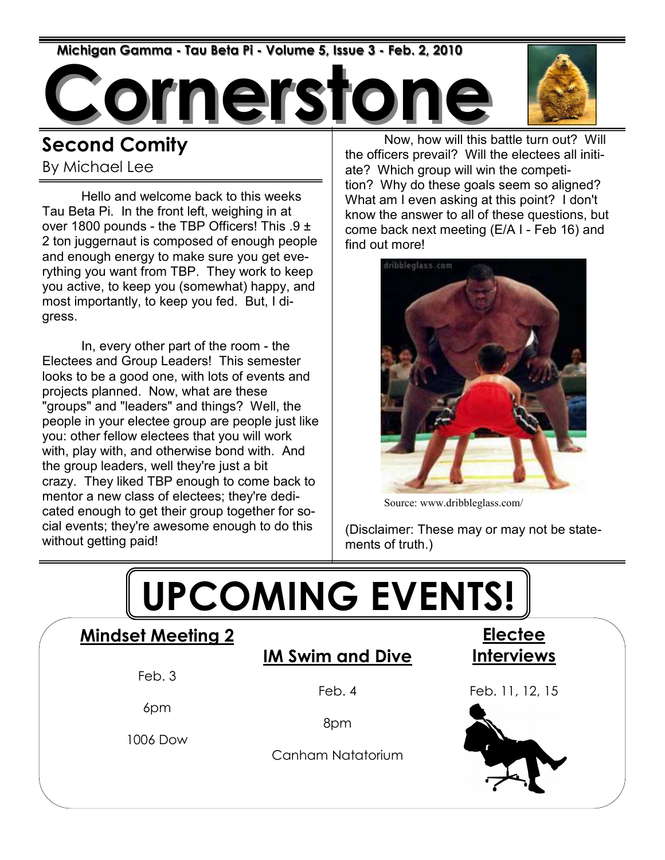Michigan Gamma - Tau Beta Pi - Volume 5, Issue 3 - Feb. 2, 2010

nerst



### Second Comity

By Michael Lee

 Hello and welcome back to this weeks Tau Beta Pi. In the front left, weighing in at over 1800 pounds - the TBP Officers! This  $.9 \pm$ 2 ton juggernaut is composed of enough people and enough energy to make sure you get everything you want from TBP. They work to keep you active, to keep you (somewhat) happy, and most importantly, to keep you fed. But, I digress.

 In, every other part of the room - the Electees and Group Leaders! This semester looks to be a good one, with lots of events and projects planned. Now, what are these "groups" and "leaders" and things? Well, the people in your electee group are people just like you: other fellow electees that you will work with, play with, and otherwise bond with. And the group leaders, well they're just a bit crazy. They liked TBP enough to come back to mentor a new class of electees; they're dedicated enough to get their group together for social events; they're awesome enough to do this without getting paid!

 Now, how will this battle turn out? Will the officers prevail? Will the electees all initiate? Which group will win the competition? Why do these goals seem so aligned? What am I even asking at this point? I don't know the answer to all of these questions, but come back next meeting (E/A I - Feb 16) and find out more!



Source: www.dribbleglass.com/

(Disclaimer: These may or may not be statements of truth.)

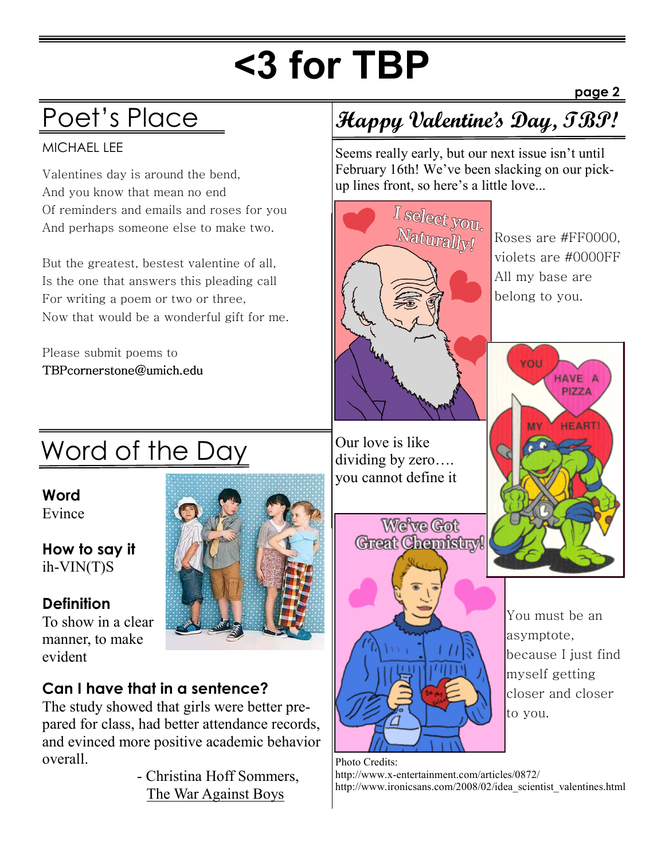# <3 for TBP

## Poet's Place

#### MICHAEL LEE

Valentines day is around the bend, And you know that mean no end Of reminders and emails and roses for you And perhaps someone else to make two.

But the greatest, bestest valentine of all, Is the one that answers this pleading call For writing a poem or two or three, Now that would be a wonderful gift for me.

Please submit poems to TBPcornerstone@umich.edu

## **Happy Valentine's Day, TBP!**

Seems really early, but our next issue isn't until February 16th! We've been slacking on our pickup lines front, so here's a little love...



Roses are #FF0000, violets are #0000FF All my base are belong to you.

page 2

## Word of the Day

Word Evince

How to say it ih-VIN(T)S

#### **Definition**

To show in a clear manner, to make evident

#### Can I have that in a sentence?

The study showed that girls were better prepared for class, had better attendance records, and evinced more positive academic behavior overall.

> - Christina Hoff Sommers, The War Against Boys

Our love is like dividing by zero…. you cannot define it



You must be an asymptote, because I just find myself getting closer and closer to you.

Photo Credits: http://www.x-entertainment.com/articles/0872/ http://www.ironicsans.com/2008/02/idea\_scientist\_valentines.html

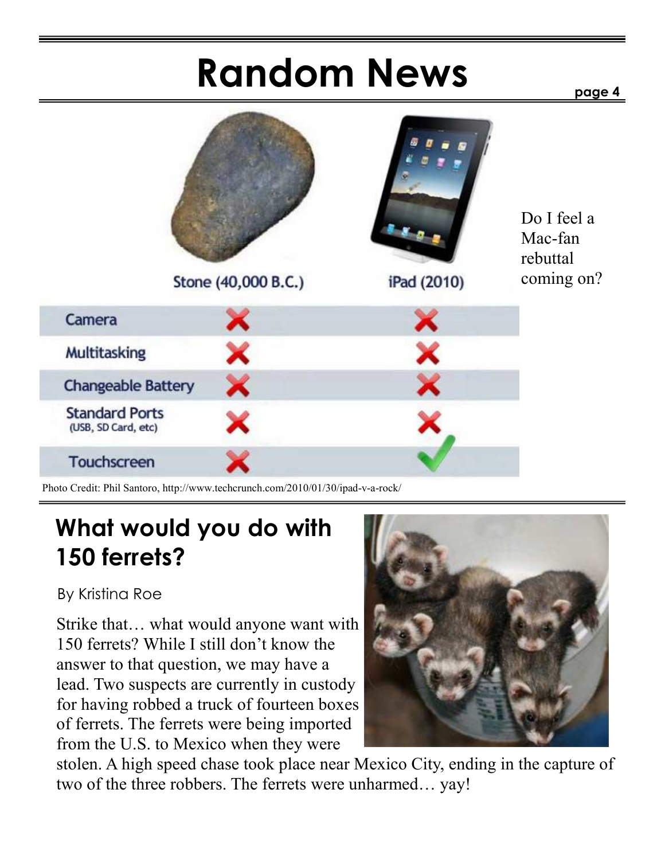# Random News

page 4



Photo Credit: Phil Santoro, http://www.techcrunch.com/2010/01/30/ipad-v-a-rock/

### What would you do with 150 ferrets?

By Kristina Roe

Strike that… what would anyone want with 150 ferrets? While I still don't know the answer to that question, we may have a lead. Two suspects are currently in custody for having robbed a truck of fourteen boxes of ferrets. The ferrets were being imported from the U.S. to Mexico when they were



stolen. A high speed chase took place near Mexico City, ending in the capture of two of the three robbers. The ferrets were unharmed… yay!